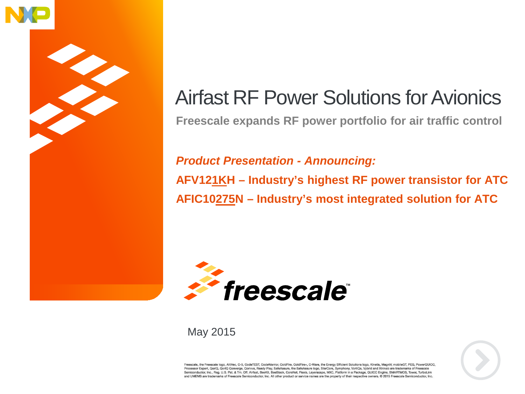

### Airfast RF Power Solutions for Avionics

**Freescale expands RF power portfolio for air traffic control**

*Product Presentation - Announcing:* **AFV121KH – Industry's highest RF power transistor for ATC AFIC10275N – Industry's most integrated solution for ATC**



### May 2015



Freescale, the Freescale logo, AltiVec, C-5, CodeTEST, CodeWarrior, ColdFire, ColdFire+, C-Ware, the Energy Efficient Solutions logo, Kinetis, MagniV, mobileGT, PEG, PowerQUICC, Processor Expert, QoriQ, QoriQ Qonverge, Qorivva, Ready Play, SafeAssure, the SafeAssure logo, StarCore, Symphony, VortiQa, Vybrid and Xtrinsic are trademarks of Freescale<br>Semiconductor, Inc., Reg. U.S. Pat. & Tm. Off. Air and UMEMS are trademarks of Freescale Semiconductor, Inc. All other product or service names are the property of their respective owners. C 2015 Freescale Semiconductor, Inc.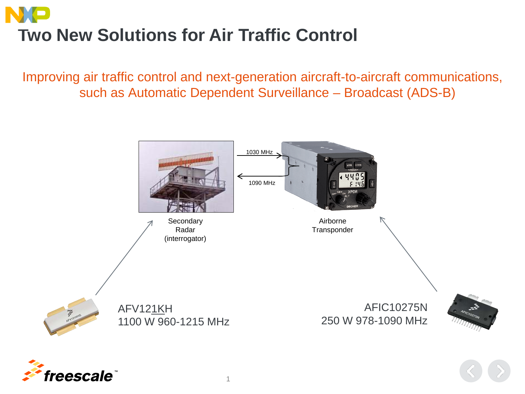# **Two New Solutions for Air Traffic Control**

Improving air traffic control and next-generation aircraft-to-aircraft communications, such as Automatic Dependent Surveillance – Broadcast (ADS-B)

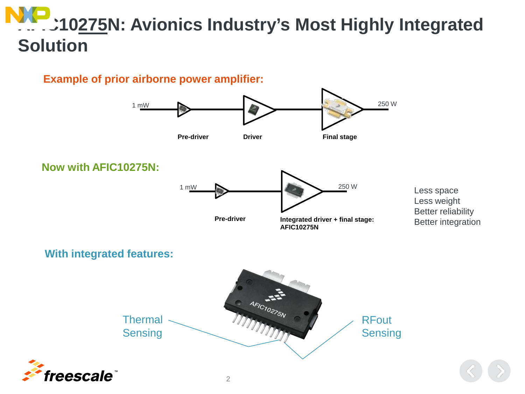## **AFIC10275N: Avionics Industry's Most Highly Integrated Solution**

### **Example of prior airborne power amplifier:**

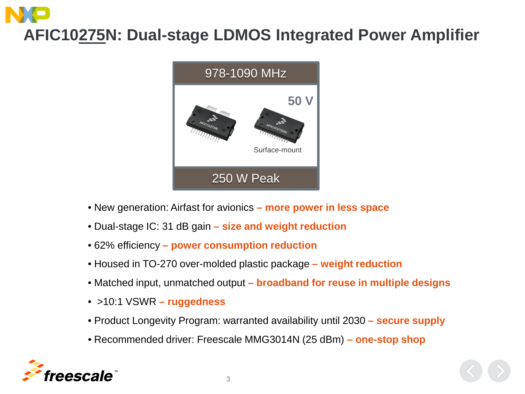# **AFIC10275N: Dual-stage LDMOS Integrated Power Amplifier**



- New generation: Airfast for avionics **– more power in less space**
- Dual-stage IC: 31 dB gain **– size and weight reduction**
- 62% efficiency **– power consumption reduction**
- Housed in TO-270 over-molded plastic package **– weight reduction**
- Matched input, unmatched output **– broadband for reuse in multiple designs**
- >10:1 VSWR **– ruggedness**
- Product Longevity Program: warranted availability until 2030 **– secure supply**
- Recommended driver: Freescale MMG3014N (25 dBm) **– one-stop shop**



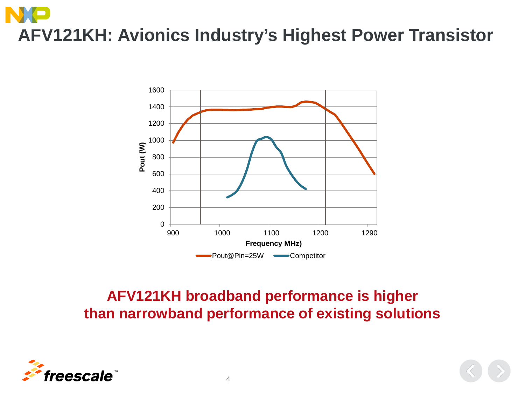# **AFV121KH: Avionics Industry's Highest Power Transistor**



### **AFV121KH broadband performance is higher than narrowband performance of existing solutions**

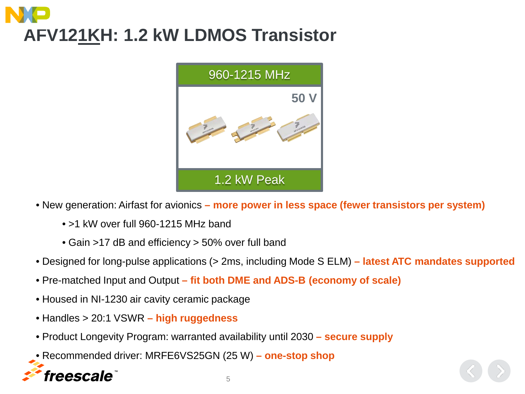# **AFV121KH: 1.2 kW LDMOS Transistor**



- New generation: Airfast for avionics **– more power in less space (fewer transistors per system)**
	- >1 kW over full 960-1215 MHz band
	- Gain >17 dB and efficiency > 50% over full band
- Designed for long-pulse applications (> 2ms, including Mode S ELM) **– latest ATC mandates supported**
- Pre-matched Input and Output **– fit both DME and ADS-B (economy of scale)**
- Housed in NI-1230 air cavity ceramic package
- Handles > 20:1 VSWR **– high ruggedness**
- Product Longevity Program: warranted availability until 2030 **– secure supply**
- Recommended driver: MRFE6VS25GN (25 W) **– one-stop shop**

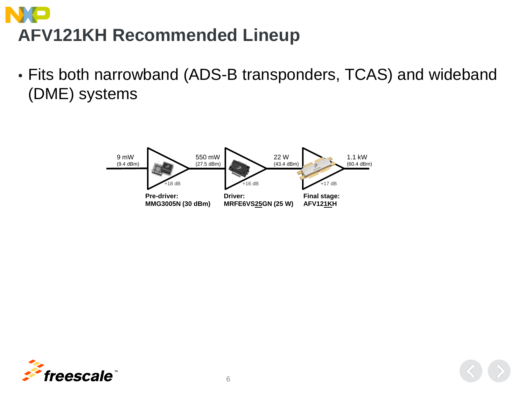# **AFV121KH Recommended Lineup**

• Fits both narrowband (ADS-B transponders, TCAS) and wideband (DME) systems



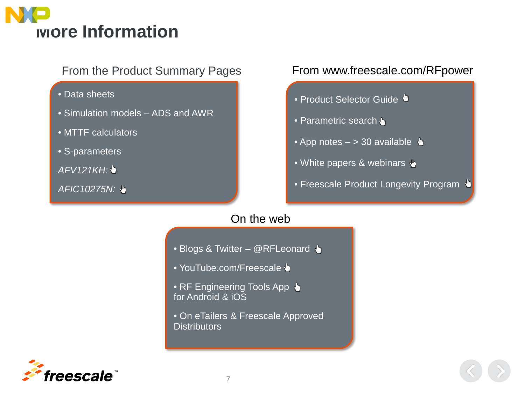

- Data sheets
- Simulation models ADS and AWR
- MTTF calculators
- S-parameters
- *AFV121KH:*
- *AFIC10275N:*

### From the Product Summary Pages From www.freescale.com/RFpower

- Product Selector Guide •
- Parametric search  $\blacklozenge$
- App notes  $-$  > 30 available  $\sqrt{\ }$
- White papers & webinars  $\frac{1}{2}$
- Freescale Product Longevity Program +

### On the web

- Blogs & Twitter @RFLeonard +
- YouTube.com/Freescale +
- RF Engineering Tools App + for Android & iOS
- On eTailers & Freescale Approved **Distributors**